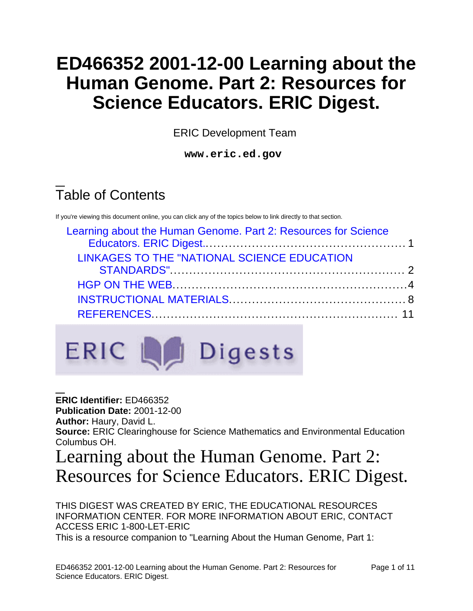# **ED466352 2001-12-00 Learning about the Human Genome. Part 2: Resources for Science Educators. ERIC Digest.**

ERIC Development Team

**www.eric.ed.gov**

# Table of Contents

If you're viewing this document online, you can click any of the topics below to link directly to that section.

| Learning about the Human Genome. Part 2: Resources for Science |  |
|----------------------------------------------------------------|--|
|                                                                |  |
| LINKAGES TO THE "NATIONAL SCIENCE EDUCATION                    |  |
|                                                                |  |
|                                                                |  |
|                                                                |  |
|                                                                |  |



**ERIC Identifier:** ED466352 **Publication Date:** 2001-12-00 **Author:** Haury, David L. **Source:** ERIC Clearinghouse for Science Mathematics and Environmental Education Columbus OH.

<span id="page-0-0"></span>Learning about the Human Genome. Part 2: Resources for Science Educators. ERIC Digest.

THIS DIGEST WAS CREATED BY ERIC, THE EDUCATIONAL RESOURCES INFORMATION CENTER. FOR MORE INFORMATION ABOUT ERIC, CONTACT ACCESS ERIC 1-800-LET-ERIC This is a resource companion to "Learning About the Human Genome, Part 1: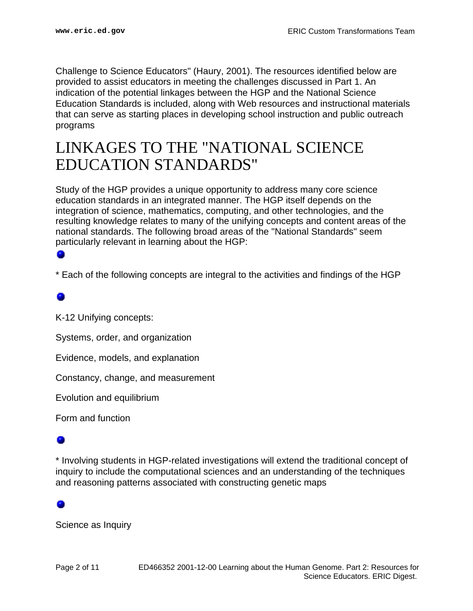Challenge to Science Educators" (Haury, 2001). The resources identified below are provided to assist educators in meeting the challenges discussed in Part 1. An indication of the potential linkages between the HGP and the National Science Education Standards is included, along with Web resources and instructional materials that can serve as starting places in developing school instruction and public outreach programs

# <span id="page-1-0"></span>LINKAGES TO THE "NATIONAL SCIENCE EDUCATION STANDARDS"

Study of the HGP provides a unique opportunity to address many core science education standards in an integrated manner. The HGP itself depends on the integration of science, mathematics, computing, and other technologies, and the resulting knowledge relates to many of the unifying concepts and content areas of the national standards. The following broad areas of the "National Standards" seem particularly relevant in learning about the HGP:

\* Each of the following concepts are integral to the activities and findings of the HGP

K-12 Unifying concepts:

Systems, order, and organization

Evidence, models, and explanation

Constancy, change, and measurement

Evolution and equilibrium

Form and function

\* Involving students in HGP-related investigations will extend the traditional concept of inquiry to include the computational sciences and an understanding of the techniques and reasoning patterns associated with constructing genetic maps

Science as Inquiry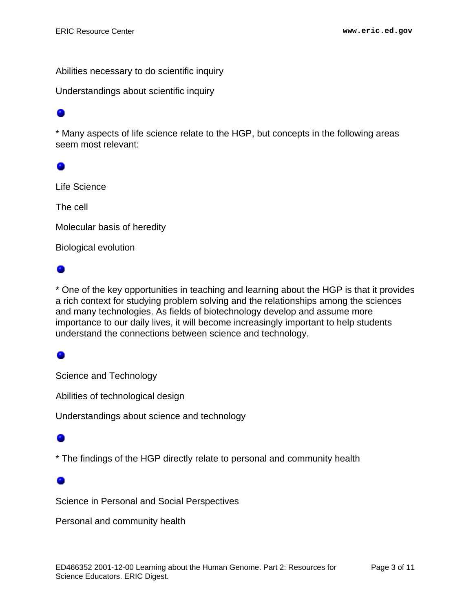Abilities necessary to do scientific inquiry

Understandings about scientific inquiry

\* Many aspects of life science relate to the HGP, but concepts in the following areas seem most relevant:

### 0

Life Science

The cell

Molecular basis of heredity

Biological evolution

### ۰

\* One of the key opportunities in teaching and learning about the HGP is that it provides a rich context for studying problem solving and the relationships among the sciences and many technologies. As fields of biotechnology develop and assume more importance to our daily lives, it will become increasingly important to help students understand the connections between science and technology.

### ۰

Science and Technology

Abilities of technological design

Understandings about science and technology

\* The findings of the HGP directly relate to personal and community health

### ۰

Science in Personal and Social Perspectives

Personal and community health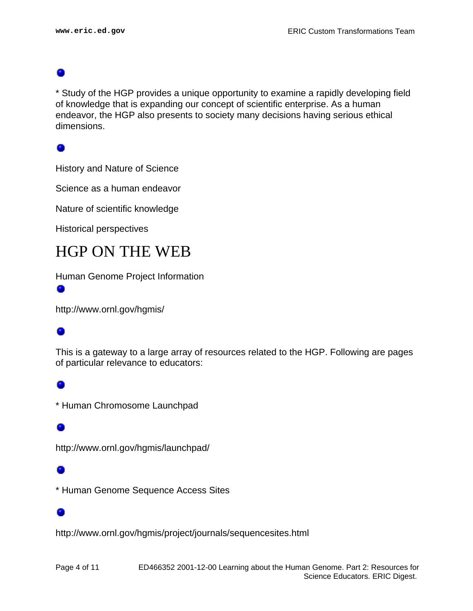\* Study of the HGP provides a unique opportunity to examine a rapidly developing field of knowledge that is expanding our concept of scientific enterprise. As a human endeavor, the HGP also presents to society many decisions having serious ethical dimensions.

History and Nature of Science

Science as a human endeavor

Nature of scientific knowledge

Historical perspectives

## <span id="page-3-0"></span>HGP ON THE WEB

Human Genome Project Information

http://www.ornl.gov/hgmis/

### ۰

This is a gateway to a large array of resources related to the HGP. Following are pages of particular relevance to educators:

\* Human Chromosome Launchpad

### ٠

http://www.ornl.gov/hgmis/launchpad/

\* Human Genome Sequence Access Sites

http://www.ornl.gov/hgmis/project/journals/sequencesites.html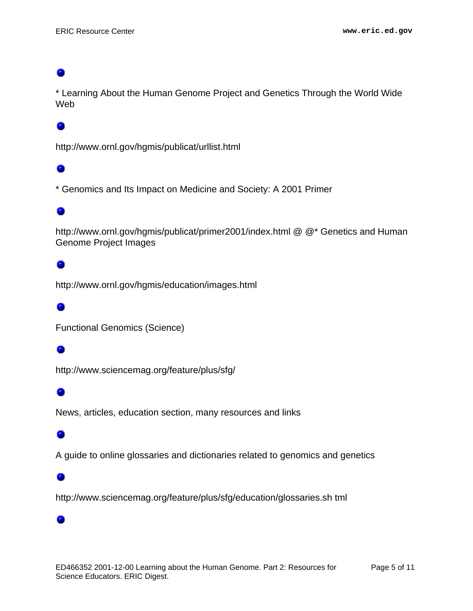\* Learning About the Human Genome Project and Genetics Through the World Wide Web

### ۰

http://www.ornl.gov/hgmis/publicat/urllist.html

### ۰

\* Genomics and Its Impact on Medicine and Society: A 2001 Primer

### 0

http://www.ornl.gov/hgmis/publicat/primer2001/index.html @ @\* Genetics and Human Genome Project Images

### ۰

http://www.ornl.gov/hgmis/education/images.html

### o

Functional Genomics (Science)

### ۰

http://www.sciencemag.org/feature/plus/sfg/

### ۰

News, articles, education section, many resources and links

### ۰

A guide to online glossaries and dictionaries related to genomics and genetics

### ۰

۰

http://www.sciencemag.org/feature/plus/sfg/education/glossaries.sh tml

### ED466352 2001-12-00 Learning about the Human Genome. Part 2: Resources for Science Educators. ERIC Digest.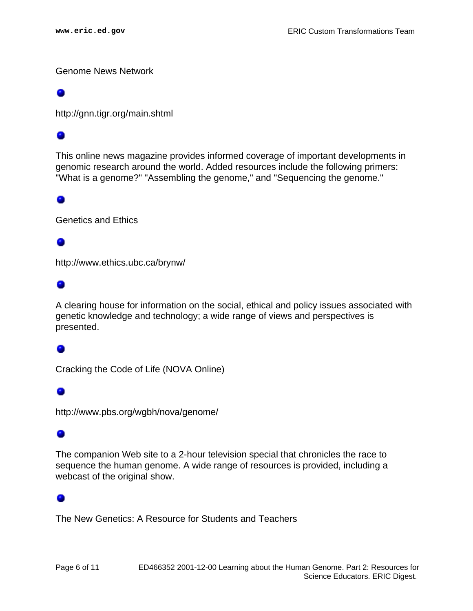Genome News Network

http://gnn.tigr.org/main.shtml

This online news magazine provides informed coverage of important developments in genomic research around the world. Added resources include the following primers: "What is a genome?" "Assembling the genome," and "Sequencing the genome."

### ۰

Genetics and Ethics

http://www.ethics.ubc.ca/brynw/

### ۰

A clearing house for information on the social, ethical and policy issues associated with genetic knowledge and technology; a wide range of views and perspectives is presented.

### ۰

Cracking the Code of Life (NOVA Online)

### 0

http://www.pbs.org/wgbh/nova/genome/

### 0

The companion Web site to a 2-hour television special that chronicles the race to sequence the human genome. A wide range of resources is provided, including a webcast of the original show.

### ۰

The New Genetics: A Resource for Students and Teachers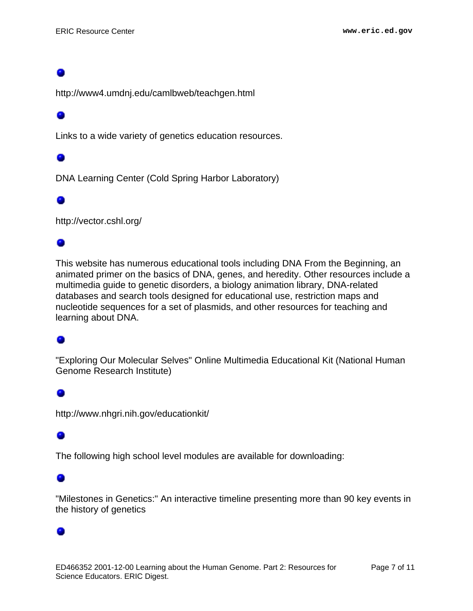http://www4.umdnj.edu/camlbweb/teachgen.html

### ۰

Links to a wide variety of genetics education resources.

DNA Learning Center (Cold Spring Harbor Laboratory)

### 0

http://vector.cshl.org/

### ۰

This website has numerous educational tools including DNA From the Beginning, an animated primer on the basics of DNA, genes, and heredity. Other resources include a multimedia guide to genetic disorders, a biology animation library, DNA-related databases and search tools designed for educational use, restriction maps and nucleotide sequences for a set of plasmids, and other resources for teaching and learning about DNA.

### ٠

"Exploring Our Molecular Selves" Online Multimedia Educational Kit (National Human Genome Research Institute)

### ۰

http://www.nhgri.nih.gov/educationkit/

The following high school level modules are available for downloading:

### ۰

"Milestones in Genetics:" An interactive timeline presenting more than 90 key events in the history of genetics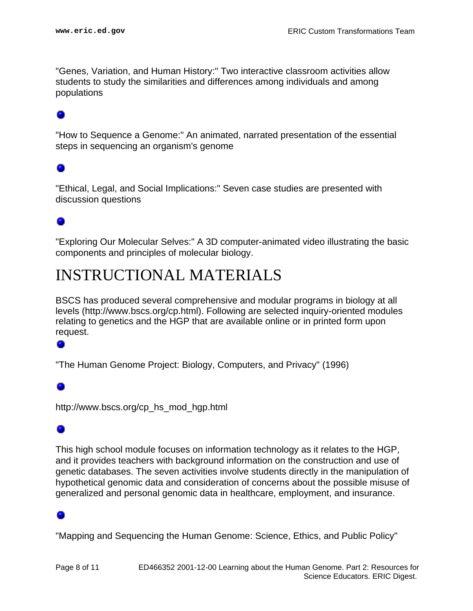"Genes, Variation, and Human History:" Two interactive classroom activities allow students to study the similarities and differences among individuals and among populations

"How to Sequence a Genome:" An animated, narrated presentation of the essential steps in sequencing an organism's genome

### ۰

"Ethical, Legal, and Social Implications:" Seven case studies are presented with discussion questions

### ۰

"Exploring Our Molecular Selves:" A 3D computer-animated video illustrating the basic components and principles of molecular biology.

# <span id="page-7-0"></span>INSTRUCTIONAL MATERIALS

BSCS has produced several comprehensive and modular programs in biology at all levels (http://www.bscs.org/cp.html). Following are selected inquiry-oriented modules relating to genetics and the HGP that are available online or in printed form upon request.

### ۰

"The Human Genome Project: Biology, Computers, and Privacy" (1996)

http://www.bscs.org/cp\_hs\_mod\_hgp.html

### 0

This high school module focuses on information technology as it relates to the HGP, and it provides teachers with background information on the construction and use of genetic databases. The seven activities involve students directly in the manipulation of hypothetical genomic data and consideration of concerns about the possible misuse of generalized and personal genomic data in healthcare, employment, and insurance.

"Mapping and Sequencing the Human Genome: Science, Ethics, and Public Policy"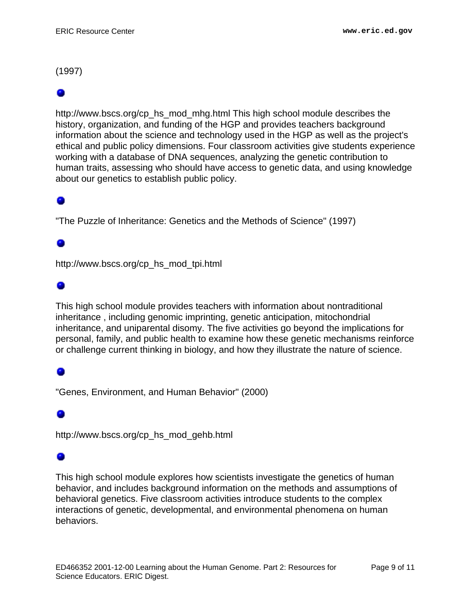(1997)

http://www.bscs.org/cp\_hs\_mod\_mhg.html This high school module describes the history, organization, and funding of the HGP and provides teachers background information about the science and technology used in the HGP as well as the project's ethical and public policy dimensions. Four classroom activities give students experience working with a database of DNA sequences, analyzing the genetic contribution to human traits, assessing who should have access to genetic data, and using knowledge about our genetics to establish public policy.

"The Puzzle of Inheritance: Genetics and the Methods of Science" (1997)

http://www.bscs.org/cp\_hs\_mod\_tpi.html

### ۰

This high school module provides teachers with information about nontraditional inheritance , including genomic imprinting, genetic anticipation, mitochondrial inheritance, and uniparental disomy. The five activities go beyond the implications for personal, family, and public health to examine how these genetic mechanisms reinforce or challenge current thinking in biology, and how they illustrate the nature of science.

"Genes, Environment, and Human Behavior" (2000)

### ۰

http://www.bscs.org/cp\_hs\_mod\_gehb.html

### o

This high school module explores how scientists investigate the genetics of human behavior, and includes background information on the methods and assumptions of behavioral genetics. Five classroom activities introduce students to the complex interactions of genetic, developmental, and environmental phenomena on human behaviors.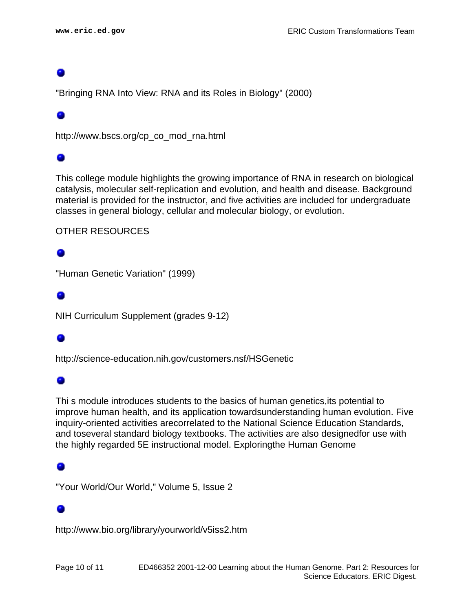"Bringing RNA Into View: RNA and its Roles in Biology" (2000)

### 0

http://www.bscs.org/cp\_co\_mod\_rna.html

This college module highlights the growing importance of RNA in research on biological catalysis, molecular self-replication and evolution, and health and disease. Background material is provided for the instructor, and five activities are included for undergraduate classes in general biology, cellular and molecular biology, or evolution.

### OTHER RESOURCES

### o

"Human Genetic Variation" (1999)

### ۰

NIH Curriculum Supplement (grades 9-12)

http://science-education.nih.gov/customers.nsf/HSGenetic

### ۰

Thi s module introduces students to the basics of human genetics,its potential to improve human health, and its application towardsunderstanding human evolution. Five inquiry-oriented activities arecorrelated to the National Science Education Standards, and toseveral standard biology textbooks. The activities are also designedfor use with the highly regarded 5E instructional model. Exploringthe Human Genome

"Your World/Our World," Volume 5, Issue 2

### o

http://www.bio.org/library/yourworld/v5iss2.htm